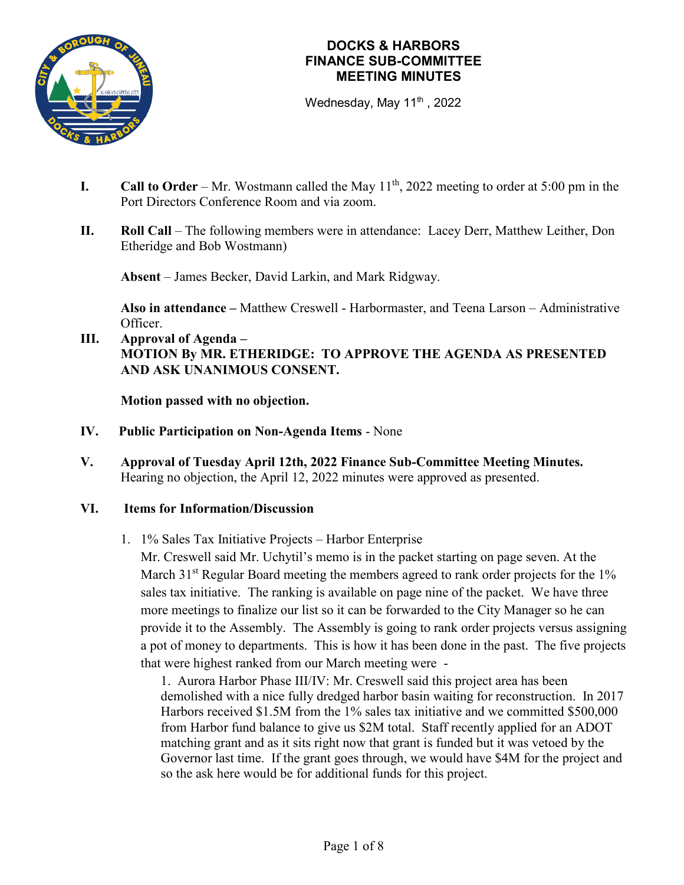

Wednesday, May  $11<sup>th</sup>$ , 2022

- **I.** Call to Order Mr. Wostmann called the May  $11<sup>th</sup>$ , 2022 meeting to order at 5:00 pm in the Port Directors Conference Room and via zoom.
- **II. Roll Call** The following members were in attendance: Lacey Derr, Matthew Leither, Don Etheridge and Bob Wostmann)

**Absent** – James Becker, David Larkin, and Mark Ridgway.

**Also in attendance –** Matthew Creswell - Harbormaster, and Teena Larson – Administrative Officer.

### **III. Approval of Agenda – MOTION By MR. ETHERIDGE: TO APPROVE THE AGENDA AS PRESENTED AND ASK UNANIMOUS CONSENT.**

**Motion passed with no objection.**

- **IV. Public Participation on Non-Agenda Items** None
- **V. Approval of Tuesday April 12th, 2022 Finance Sub-Committee Meeting Minutes.** Hearing no objection, the April 12, 2022 minutes were approved as presented.

### **VI. Items for Information/Discussion**

1. 1% Sales Tax Initiative Projects – Harbor Enterprise

Mr. Creswell said Mr. Uchytil's memo is in the packet starting on page seven. At the March 31<sup>st</sup> Regular Board meeting the members agreed to rank order projects for the 1% sales tax initiative. The ranking is available on page nine of the packet. We have three more meetings to finalize our list so it can be forwarded to the City Manager so he can provide it to the Assembly. The Assembly is going to rank order projects versus assigning a pot of money to departments. This is how it has been done in the past. The five projects that were highest ranked from our March meeting were -

1. Aurora Harbor Phase III/IV: Mr. Creswell said this project area has been demolished with a nice fully dredged harbor basin waiting for reconstruction. In 2017 Harbors received \$1.5M from the 1% sales tax initiative and we committed \$500,000 from Harbor fund balance to give us \$2M total. Staff recently applied for an ADOT matching grant and as it sits right now that grant is funded but it was vetoed by the Governor last time. If the grant goes through, we would have \$4M for the project and so the ask here would be for additional funds for this project.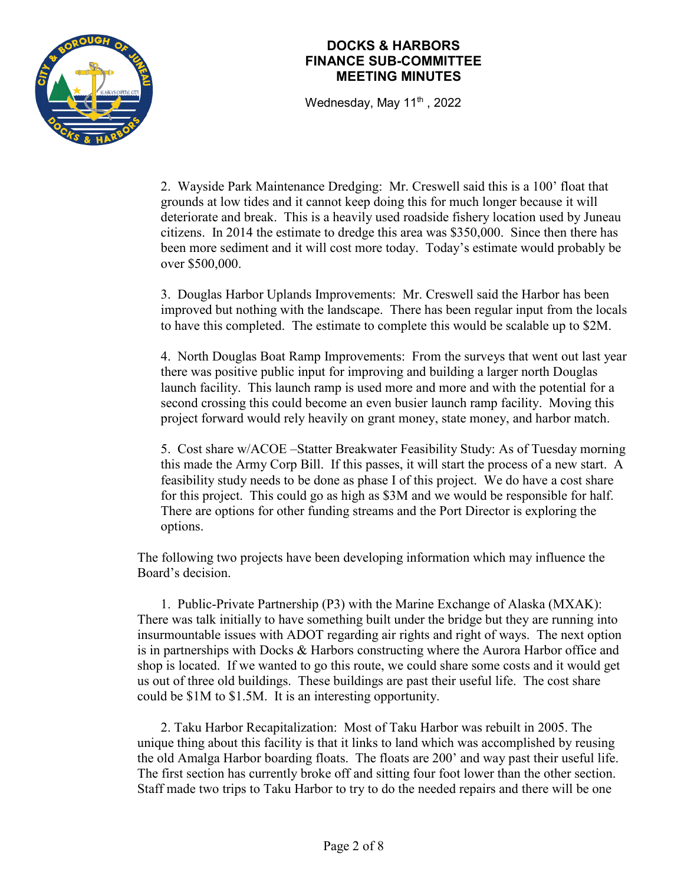

Wednesday, May  $11<sup>th</sup>$ , 2022

2. Wayside Park Maintenance Dredging: Mr. Creswell said this is a 100' float that grounds at low tides and it cannot keep doing this for much longer because it will deteriorate and break. This is a heavily used roadside fishery location used by Juneau citizens. In 2014 the estimate to dredge this area was \$350,000. Since then there has been more sediment and it will cost more today. Today's estimate would probably be over \$500,000.

3. Douglas Harbor Uplands Improvements: Mr. Creswell said the Harbor has been improved but nothing with the landscape. There has been regular input from the locals to have this completed. The estimate to complete this would be scalable up to \$2M.

4. North Douglas Boat Ramp Improvements: From the surveys that went out last year there was positive public input for improving and building a larger north Douglas launch facility. This launch ramp is used more and more and with the potential for a second crossing this could become an even busier launch ramp facility. Moving this project forward would rely heavily on grant money, state money, and harbor match.

5. Cost share w/ACOE –Statter Breakwater Feasibility Study: As of Tuesday morning this made the Army Corp Bill. If this passes, it will start the process of a new start. A feasibility study needs to be done as phase I of this project. We do have a cost share for this project. This could go as high as \$3M and we would be responsible for half. There are options for other funding streams and the Port Director is exploring the options.

The following two projects have been developing information which may influence the Board's decision.

1. Public-Private Partnership (P3) with the Marine Exchange of Alaska (MXAK): There was talk initially to have something built under the bridge but they are running into insurmountable issues with ADOT regarding air rights and right of ways. The next option is in partnerships with Docks & Harbors constructing where the Aurora Harbor office and shop is located. If we wanted to go this route, we could share some costs and it would get us out of three old buildings. These buildings are past their useful life. The cost share could be \$1M to \$1.5M. It is an interesting opportunity.

2. Taku Harbor Recapitalization: Most of Taku Harbor was rebuilt in 2005. The unique thing about this facility is that it links to land which was accomplished by reusing the old Amalga Harbor boarding floats. The floats are 200' and way past their useful life. The first section has currently broke off and sitting four foot lower than the other section. Staff made two trips to Taku Harbor to try to do the needed repairs and there will be one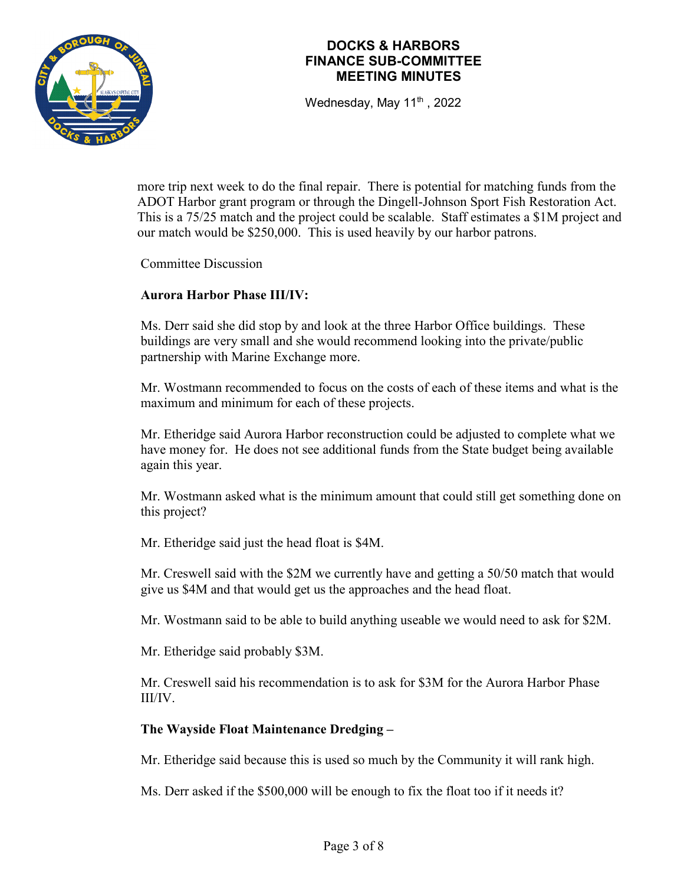

Wednesday, May  $11<sup>th</sup>$ , 2022

more trip next week to do the final repair. There is potential for matching funds from the ADOT Harbor grant program or through the Dingell-Johnson Sport Fish Restoration Act. This is a 75/25 match and the project could be scalable. Staff estimates a \$1M project and our match would be \$250,000. This is used heavily by our harbor patrons.

Committee Discussion

### **Aurora Harbor Phase III/IV:**

Ms. Derr said she did stop by and look at the three Harbor Office buildings. These buildings are very small and she would recommend looking into the private/public partnership with Marine Exchange more.

Mr. Wostmann recommended to focus on the costs of each of these items and what is the maximum and minimum for each of these projects.

Mr. Etheridge said Aurora Harbor reconstruction could be adjusted to complete what we have money for. He does not see additional funds from the State budget being available again this year.

Mr. Wostmann asked what is the minimum amount that could still get something done on this project?

Mr. Etheridge said just the head float is \$4M.

Mr. Creswell said with the \$2M we currently have and getting a 50/50 match that would give us \$4M and that would get us the approaches and the head float.

Mr. Wostmann said to be able to build anything useable we would need to ask for \$2M.

Mr. Etheridge said probably \$3M.

Mr. Creswell said his recommendation is to ask for \$3M for the Aurora Harbor Phase III/IV.

### **The Wayside Float Maintenance Dredging –**

Mr. Etheridge said because this is used so much by the Community it will rank high.

Ms. Derr asked if the \$500,000 will be enough to fix the float too if it needs it?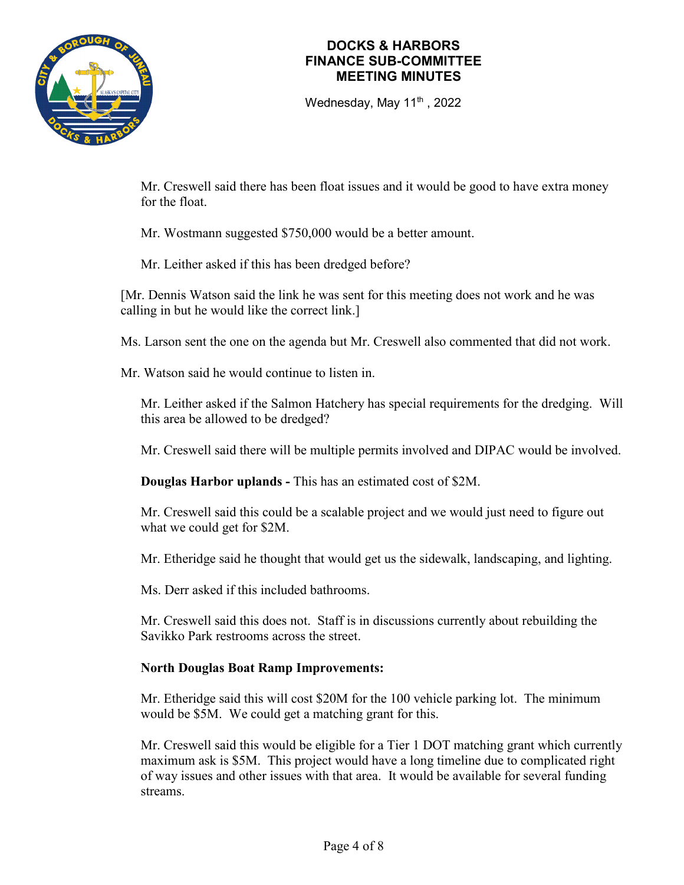

Wednesday, May  $11<sup>th</sup>$ , 2022

Mr. Creswell said there has been float issues and it would be good to have extra money for the float.

Mr. Wostmann suggested \$750,000 would be a better amount.

Mr. Leither asked if this has been dredged before?

[Mr. Dennis Watson said the link he was sent for this meeting does not work and he was calling in but he would like the correct link.]

Ms. Larson sent the one on the agenda but Mr. Creswell also commented that did not work.

Mr. Watson said he would continue to listen in.

Mr. Leither asked if the Salmon Hatchery has special requirements for the dredging. Will this area be allowed to be dredged?

Mr. Creswell said there will be multiple permits involved and DIPAC would be involved.

**Douglas Harbor uplands -** This has an estimated cost of \$2M.

Mr. Creswell said this could be a scalable project and we would just need to figure out what we could get for \$2M.

Mr. Etheridge said he thought that would get us the sidewalk, landscaping, and lighting.

Ms. Derr asked if this included bathrooms.

Mr. Creswell said this does not. Staff is in discussions currently about rebuilding the Savikko Park restrooms across the street.

### **North Douglas Boat Ramp Improvements:**

Mr. Etheridge said this will cost \$20M for the 100 vehicle parking lot. The minimum would be \$5M. We could get a matching grant for this.

Mr. Creswell said this would be eligible for a Tier 1 DOT matching grant which currently maximum ask is \$5M. This project would have a long timeline due to complicated right of way issues and other issues with that area. It would be available for several funding streams.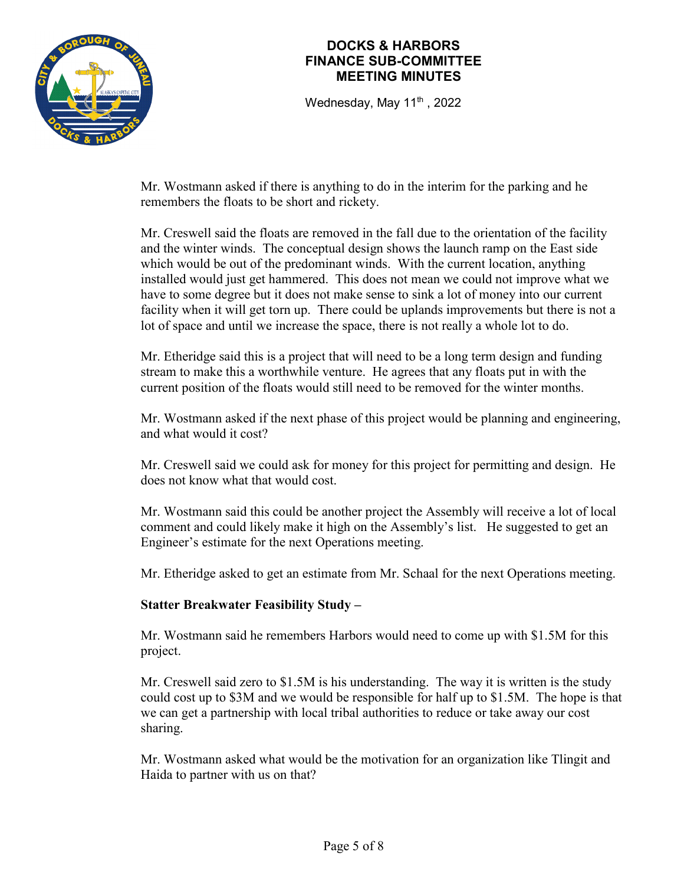

Wednesday, May  $11<sup>th</sup>$ , 2022

Mr. Wostmann asked if there is anything to do in the interim for the parking and he remembers the floats to be short and rickety.

Mr. Creswell said the floats are removed in the fall due to the orientation of the facility and the winter winds. The conceptual design shows the launch ramp on the East side which would be out of the predominant winds. With the current location, anything installed would just get hammered. This does not mean we could not improve what we have to some degree but it does not make sense to sink a lot of money into our current facility when it will get torn up. There could be uplands improvements but there is not a lot of space and until we increase the space, there is not really a whole lot to do.

Mr. Etheridge said this is a project that will need to be a long term design and funding stream to make this a worthwhile venture. He agrees that any floats put in with the current position of the floats would still need to be removed for the winter months.

Mr. Wostmann asked if the next phase of this project would be planning and engineering, and what would it cost?

Mr. Creswell said we could ask for money for this project for permitting and design. He does not know what that would cost.

Mr. Wostmann said this could be another project the Assembly will receive a lot of local comment and could likely make it high on the Assembly's list. He suggested to get an Engineer's estimate for the next Operations meeting.

Mr. Etheridge asked to get an estimate from Mr. Schaal for the next Operations meeting.

### **Statter Breakwater Feasibility Study –**

Mr. Wostmann said he remembers Harbors would need to come up with \$1.5M for this project.

Mr. Creswell said zero to \$1.5M is his understanding. The way it is written is the study could cost up to \$3M and we would be responsible for half up to \$1.5M. The hope is that we can get a partnership with local tribal authorities to reduce or take away our cost sharing.

Mr. Wostmann asked what would be the motivation for an organization like Tlingit and Haida to partner with us on that?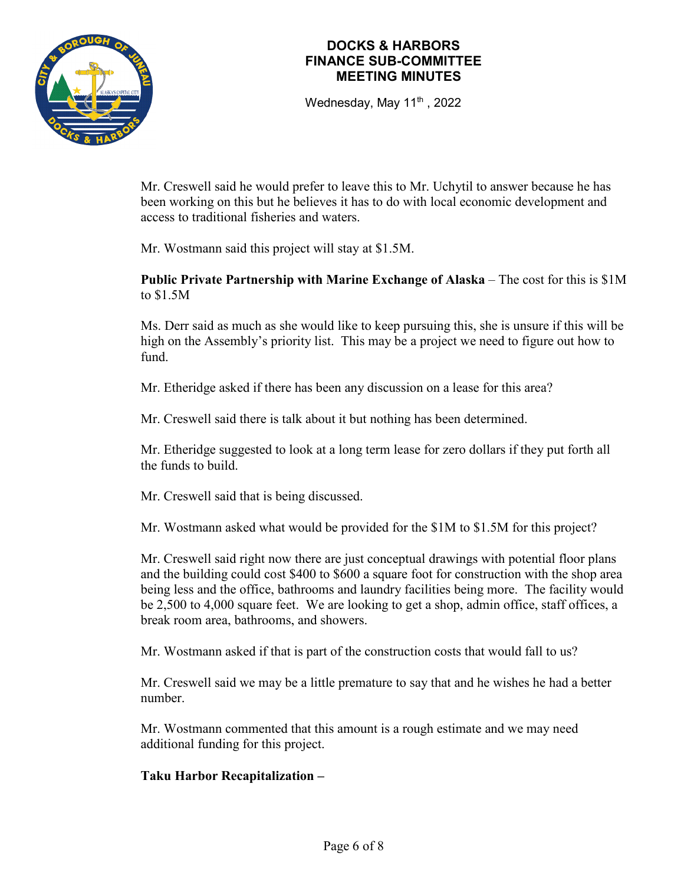

Wednesday, May 11<sup>th</sup>, 2022

Mr. Creswell said he would prefer to leave this to Mr. Uchytil to answer because he has been working on this but he believes it has to do with local economic development and access to traditional fisheries and waters.

Mr. Wostmann said this project will stay at \$1.5M.

### **Public Private Partnership with Marine Exchange of Alaska** – The cost for this is \$1M to \$1.5M

Ms. Derr said as much as she would like to keep pursuing this, she is unsure if this will be high on the Assembly's priority list. This may be a project we need to figure out how to fund.

Mr. Etheridge asked if there has been any discussion on a lease for this area?

Mr. Creswell said there is talk about it but nothing has been determined.

Mr. Etheridge suggested to look at a long term lease for zero dollars if they put forth all the funds to build.

Mr. Creswell said that is being discussed.

Mr. Wostmann asked what would be provided for the \$1M to \$1.5M for this project?

Mr. Creswell said right now there are just conceptual drawings with potential floor plans and the building could cost \$400 to \$600 a square foot for construction with the shop area being less and the office, bathrooms and laundry facilities being more. The facility would be 2,500 to 4,000 square feet. We are looking to get a shop, admin office, staff offices, a break room area, bathrooms, and showers.

Mr. Wostmann asked if that is part of the construction costs that would fall to us?

Mr. Creswell said we may be a little premature to say that and he wishes he had a better number.

Mr. Wostmann commented that this amount is a rough estimate and we may need additional funding for this project.

### **Taku Harbor Recapitalization –**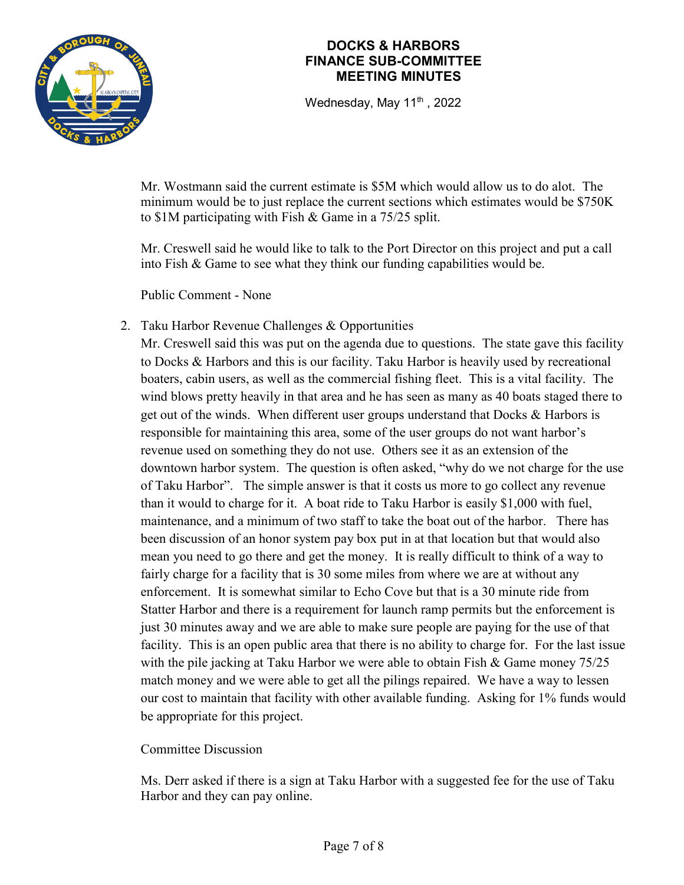

Wednesday, May  $11<sup>th</sup>$ , 2022

Mr. Wostmann said the current estimate is \$5M which would allow us to do alot. The minimum would be to just replace the current sections which estimates would be \$750K to \$1M participating with Fish & Game in a 75/25 split.

Mr. Creswell said he would like to talk to the Port Director on this project and put a call into Fish & Game to see what they think our funding capabilities would be.

Public Comment - None

2. Taku Harbor Revenue Challenges & Opportunities

Mr. Creswell said this was put on the agenda due to questions. The state gave this facility to Docks & Harbors and this is our facility. Taku Harbor is heavily used by recreational boaters, cabin users, as well as the commercial fishing fleet. This is a vital facility. The wind blows pretty heavily in that area and he has seen as many as 40 boats staged there to get out of the winds. When different user groups understand that Docks & Harbors is responsible for maintaining this area, some of the user groups do not want harbor's revenue used on something they do not use. Others see it as an extension of the downtown harbor system. The question is often asked, "why do we not charge for the use of Taku Harbor". The simple answer is that it costs us more to go collect any revenue than it would to charge for it. A boat ride to Taku Harbor is easily \$1,000 with fuel, maintenance, and a minimum of two staff to take the boat out of the harbor. There has been discussion of an honor system pay box put in at that location but that would also mean you need to go there and get the money. It is really difficult to think of a way to fairly charge for a facility that is 30 some miles from where we are at without any enforcement. It is somewhat similar to Echo Cove but that is a 30 minute ride from Statter Harbor and there is a requirement for launch ramp permits but the enforcement is just 30 minutes away and we are able to make sure people are paying for the use of that facility. This is an open public area that there is no ability to charge for. For the last issue with the pile jacking at Taku Harbor we were able to obtain Fish & Game money 75/25 match money and we were able to get all the pilings repaired. We have a way to lessen our cost to maintain that facility with other available funding. Asking for 1% funds would be appropriate for this project.

# Committee Discussion

Ms. Derr asked if there is a sign at Taku Harbor with a suggested fee for the use of Taku Harbor and they can pay online.